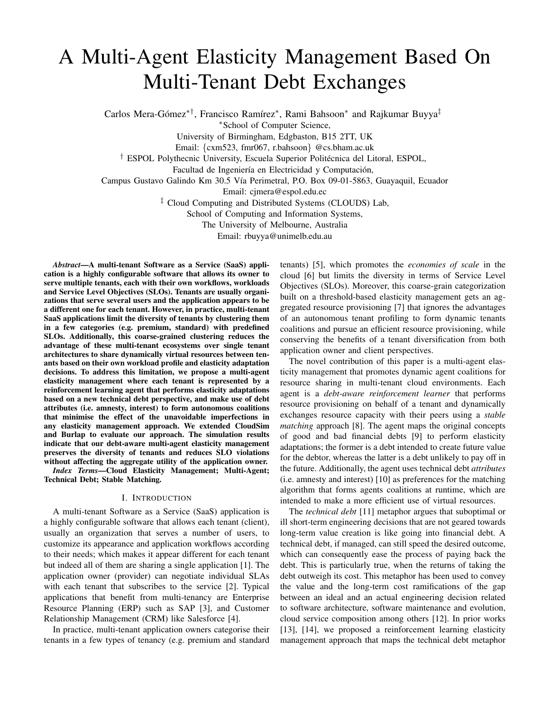# A Multi-Agent Elasticity Management Based On Multi-Tenant Debt Exchanges

Carlos Mera-Gómez<sup>\*†</sup>, Francisco Ramírez<sup>\*</sup>, Rami Bahsoon<sup>\*</sup> and Rajkumar Buyya<sup>‡</sup>

<sup>∗</sup>School of Computer Science,

University of Birmingham, Edgbaston, B15 2TT, UK

Email: {cxm523, fmr067, r.bahsoon} @cs.bham.ac.uk

<sup>†</sup> ESPOL Polythecnic University, Escuela Superior Politécnica del Litoral, ESPOL,

Facultad de Ingeniería en Electricidad y Computación,

Campus Gustavo Galindo Km 30.5 Vía Perimetral, P.O. Box 09-01-5863, Guayaquil, Ecuador

Email: cjmera@espol.edu.ec

‡ Cloud Computing and Distributed Systems (CLOUDS) Lab,

School of Computing and Information Systems,

The University of Melbourne, Australia

Email: rbuyya@unimelb.edu.au

*Abstract*—A multi-tenant Software as a Service (SaaS) application is a highly configurable software that allows its owner to serve multiple tenants, each with their own workflows, workloads and Service Level Objectives (SLOs). Tenants are usually organizations that serve several users and the application appears to be a different one for each tenant. However, in practice, multi-tenant SaaS applications limit the diversity of tenants by clustering them in a few categories (e.g. premium, standard) with predefined SLOs. Additionally, this coarse-grained clustering reduces the advantage of these multi-tenant ecosystems over single tenant architectures to share dynamically virtual resources between tenants based on their own workload profile and elasticity adaptation decisions. To address this limitation, we propose a multi-agent elasticity management where each tenant is represented by a reinforcement learning agent that performs elasticity adaptations based on a new technical debt perspective, and make use of debt attributes (i.e. amnesty, interest) to form autonomous coalitions that minimise the effect of the unavoidable imperfections in any elasticity management approach. We extended CloudSim and Burlap to evaluate our approach. The simulation results indicate that our debt-aware multi-agent elasticity management preserves the diversity of tenants and reduces SLO violations without affecting the aggregate utility of the application owner.

*Index Terms*—Cloud Elasticity Management; Multi-Agent; Technical Debt; Stable Matching.

## I. INTRODUCTION

A multi-tenant Software as a Service (SaaS) application is a highly configurable software that allows each tenant (client), usually an organization that serves a number of users, to customize its appearance and application workflows according to their needs; which makes it appear different for each tenant but indeed all of them are sharing a single application [1]. The application owner (provider) can negotiate individual SLAs with each tenant that subscribes to the service [2]. Typical applications that benefit from multi-tenancy are Enterprise Resource Planning (ERP) such as SAP [3], and Customer Relationship Management (CRM) like Salesforce [4].

In practice, multi-tenant application owners categorise their tenants in a few types of tenancy (e.g. premium and standard

tenants) [5], which promotes the *economies of scale* in the cloud [6] but limits the diversity in terms of Service Level Objectives (SLOs). Moreover, this coarse-grain categorization built on a threshold-based elasticity management gets an aggregated resource provisioning [7] that ignores the advantages of an autonomous tenant profiling to form dynamic tenants coalitions and pursue an efficient resource provisioning, while conserving the benefits of a tenant diversification from both application owner and client perspectives.

The novel contribution of this paper is a multi-agent elasticity management that promotes dynamic agent coalitions for resource sharing in multi-tenant cloud environments. Each agent is a *debt-aware reinforcement learner* that performs resource provisioning on behalf of a tenant and dynamically exchanges resource capacity with their peers using a *stable matching* approach [8]. The agent maps the original concepts of good and bad financial debts [9] to perform elasticity adaptations; the former is a debt intended to create future value for the debtor, whereas the latter is a debt unlikely to pay off in the future. Additionally, the agent uses technical debt *attributes* (i.e. amnesty and interest) [10] as preferences for the matching algorithm that forms agents coalitions at runtime, which are intended to make a more efficient use of virtual resources.

The *technical debt* [11] metaphor argues that suboptimal or ill short-term engineering decisions that are not geared towards long-term value creation is like going into financial debt. A technical debt, if managed, can still speed the desired outcome, which can consequently ease the process of paying back the debt. This is particularly true, when the returns of taking the debt outweigh its cost. This metaphor has been used to convey the value and the long-term cost ramifications of the gap between an ideal and an actual engineering decision related to software architecture, software maintenance and evolution, cloud service composition among others [12]. In prior works [13], [14], we proposed a reinforcement learning elasticity management approach that maps the technical debt metaphor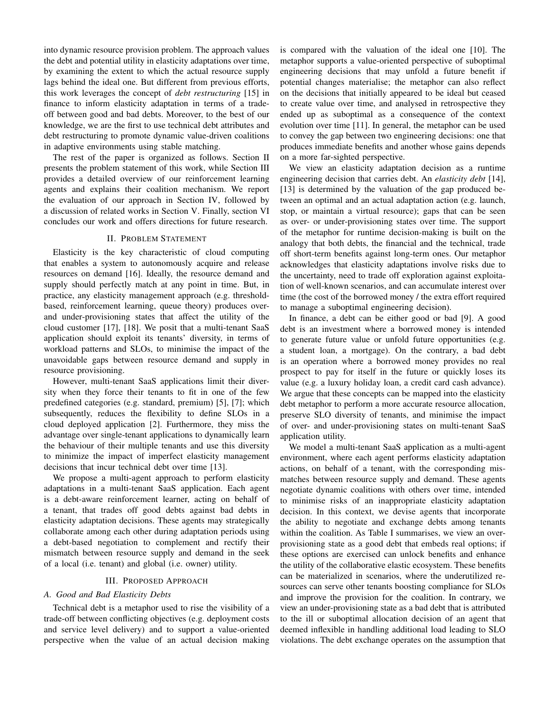into dynamic resource provision problem. The approach values the debt and potential utility in elasticity adaptations over time, by examining the extent to which the actual resource supply lags behind the ideal one. But different from previous efforts, this work leverages the concept of *debt restructuring* [15] in finance to inform elasticity adaptation in terms of a tradeoff between good and bad debts. Moreover, to the best of our knowledge, we are the first to use technical debt attributes and debt restructuring to promote dynamic value-driven coalitions in adaptive environments using stable matching.

The rest of the paper is organized as follows. Section II presents the problem statement of this work, while Section III provides a detailed overview of our reinforcement learning agents and explains their coalition mechanism. We report the evaluation of our approach in Section IV, followed by a discussion of related works in Section V. Finally, section VI concludes our work and offers directions for future research.

# II. PROBLEM STATEMENT

Elasticity is the key characteristic of cloud computing that enables a system to autonomously acquire and release resources on demand [16]. Ideally, the resource demand and supply should perfectly match at any point in time. But, in practice, any elasticity management approach (e.g. thresholdbased, reinforcement learning, queue theory) produces overand under-provisioning states that affect the utility of the cloud customer [17], [18]. We posit that a multi-tenant SaaS application should exploit its tenants' diversity, in terms of workload patterns and SLOs, to minimise the impact of the unavoidable gaps between resource demand and supply in resource provisioning.

However, multi-tenant SaaS applications limit their diversity when they force their tenants to fit in one of the few predefined categories (e.g. standard, premium) [5], [7]; which subsequently, reduces the flexibility to define SLOs in a cloud deployed application [2]. Furthermore, they miss the advantage over single-tenant applications to dynamically learn the behaviour of their multiple tenants and use this diversity to minimize the impact of imperfect elasticity management decisions that incur technical debt over time [13].

We propose a multi-agent approach to perform elasticity adaptations in a multi-tenant SaaS application. Each agent is a debt-aware reinforcement learner, acting on behalf of a tenant, that trades off good debts against bad debts in elasticity adaptation decisions. These agents may strategically collaborate among each other during adaptation periods using a debt-based negotiation to complement and rectify their mismatch between resource supply and demand in the seek of a local (i.e. tenant) and global (i.e. owner) utility.

# III. PROPOSED APPROACH

#### *A. Good and Bad Elasticity Debts*

Technical debt is a metaphor used to rise the visibility of a trade-off between conflicting objectives (e.g. deployment costs and service level delivery) and to support a value-oriented perspective when the value of an actual decision making is compared with the valuation of the ideal one [10]. The metaphor supports a value-oriented perspective of suboptimal engineering decisions that may unfold a future benefit if potential changes materialise; the metaphor can also reflect on the decisions that initially appeared to be ideal but ceased to create value over time, and analysed in retrospective they ended up as suboptimal as a consequence of the context evolution over time [11]. In general, the metaphor can be used to convey the gap between two engineering decisions: one that produces immediate benefits and another whose gains depends on a more far-sighted perspective.

We view an elasticity adaptation decision as a runtime engineering decision that carries debt. An *elasticity debt* [14], [13] is determined by the valuation of the gap produced between an optimal and an actual adaptation action (e.g. launch, stop, or maintain a virtual resource); gaps that can be seen as over- or under-provisioning states over time. The support of the metaphor for runtime decision-making is built on the analogy that both debts, the financial and the technical, trade off short-term benefits against long-term ones. Our metaphor acknowledges that elasticity adaptations involve risks due to the uncertainty, need to trade off exploration against exploitation of well-known scenarios, and can accumulate interest over time (the cost of the borrowed money / the extra effort required to manage a suboptimal engineering decision).

In finance, a debt can be either good or bad [9]. A good debt is an investment where a borrowed money is intended to generate future value or unfold future opportunities (e.g. a student loan, a mortgage). On the contrary, a bad debt is an operation where a borrowed money provides no real prospect to pay for itself in the future or quickly loses its value (e.g. a luxury holiday loan, a credit card cash advance). We argue that these concepts can be mapped into the elasticity debt metaphor to perform a more accurate resource allocation, preserve SLO diversity of tenants, and minimise the impact of over- and under-provisioning states on multi-tenant SaaS application utility.

We model a multi-tenant SaaS application as a multi-agent environment, where each agent performs elasticity adaptation actions, on behalf of a tenant, with the corresponding mismatches between resource supply and demand. These agents negotiate dynamic coalitions with others over time, intended to minimise risks of an inappropriate elasticity adaptation decision. In this context, we devise agents that incorporate the ability to negotiate and exchange debts among tenants within the coalition. As Table I summarises, we view an overprovisioning state as a good debt that embeds real options; if these options are exercised can unlock benefits and enhance the utility of the collaborative elastic ecosystem. These benefits can be materialized in scenarios, where the underutilized resources can serve other tenants boosting compliance for SLOs and improve the provision for the coalition. In contrary, we view an under-provisioning state as a bad debt that is attributed to the ill or suboptimal allocation decision of an agent that deemed inflexible in handling additional load leading to SLO violations. The debt exchange operates on the assumption that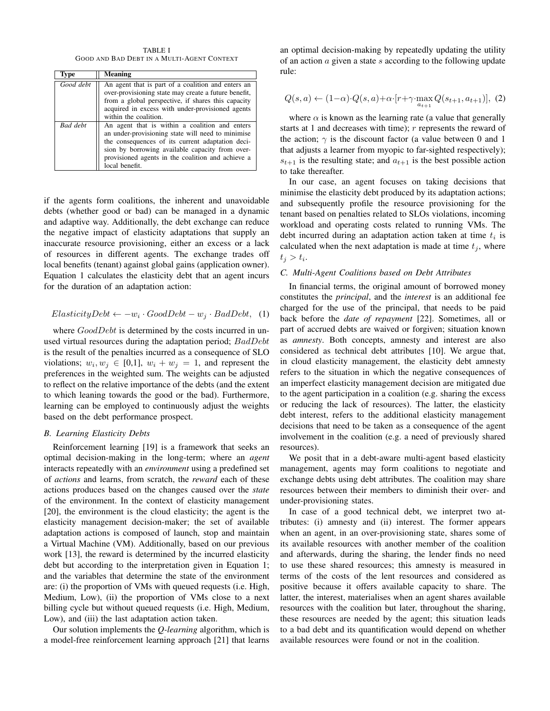TABLE I GOOD AND BAD DEBT IN A MULTI-AGENT CONTEXT

| Type            | <b>Meaning</b>                                                                                                                                                                                                                                                                    |
|-----------------|-----------------------------------------------------------------------------------------------------------------------------------------------------------------------------------------------------------------------------------------------------------------------------------|
| Good debt       | An agent that is part of a coalition and enters an<br>over-provisioning state may create a future benefit,<br>from a global perspective, if shares this capacity<br>acquired in excess with under-provisioned agents<br>within the coalition.                                     |
| <b>Bad</b> debt | An agent that is within a coalition and enters<br>an under-provisioning state will need to minimise<br>the consequences of its current adaptation deci-<br>sion by borrowing available capacity from over-<br>provisioned agents in the coalition and achieve a<br>local benefit. |

if the agents form coalitions, the inherent and unavoidable debts (whether good or bad) can be managed in a dynamic and adaptive way. Additionally, the debt exchange can reduce the negative impact of elasticity adaptations that supply an inaccurate resource provisioning, either an excess or a lack of resources in different agents. The exchange trades off local benefits (tenant) against global gains (application owner). Equation 1 calculates the elasticity debt that an agent incurs for the duration of an adaptation action:

$$
ElasticityDebt \leftarrow -w_i \cdot GoodDebt - w_j \cdot BadDebt, \quad (1)
$$

where  $GoodDebt$  is determined by the costs incurred in unused virtual resources during the adaptation period; BadDebt is the result of the penalties incurred as a consequence of SLO violations;  $w_i, w_j \in [0,1]$ ,  $w_i + w_j = 1$ , and represent the preferences in the weighted sum. The weights can be adjusted to reflect on the relative importance of the debts (and the extent to which leaning towards the good or the bad). Furthermore, learning can be employed to continuously adjust the weights based on the debt performance prospect.

## *B. Learning Elasticity Debts*

Reinforcement learning [19] is a framework that seeks an optimal decision-making in the long-term; where an *agent* interacts repeatedly with an *environment* using a predefined set of *actions* and learns, from scratch, the *reward* each of these actions produces based on the changes caused over the *state* of the environment. In the context of elasticity management [20], the environment is the cloud elasticity; the agent is the elasticity management decision-maker; the set of available adaptation actions is composed of launch, stop and maintain a Virtual Machine (VM). Additionally, based on our previous work [13], the reward is determined by the incurred elasticity debt but according to the interpretation given in Equation 1; and the variables that determine the state of the environment are: (i) the proportion of VMs with queued requests (i.e. High, Medium, Low), (ii) the proportion of VMs close to a next billing cycle but without queued requests (i.e. High, Medium, Low), and (iii) the last adaptation action taken.

Our solution implements the *Q-learning* algorithm, which is a model-free reinforcement learning approach [21] that learns an optimal decision-making by repeatedly updating the utility of an action  $\alpha$  given a state  $s$  according to the following update rule:

$$
Q(s,a) \leftarrow (1-\alpha) \cdot Q(s,a) + \alpha \cdot [r + \gamma \cdot \max_{a_{t+1}} Q(s_{t+1}, a_{t+1})], (2)
$$

where  $\alpha$  is known as the learning rate (a value that generally starts at 1 and decreases with time);  $r$  represents the reward of the action;  $\gamma$  is the discount factor (a value between 0 and 1 that adjusts a learner from myopic to far-sighted respectively);  $s_{t+1}$  is the resulting state; and  $a_{t+1}$  is the best possible action to take thereafter.

In our case, an agent focuses on taking decisions that minimise the elasticity debt produced by its adaptation actions; and subsequently profile the resource provisioning for the tenant based on penalties related to SLOs violations, incoming workload and operating costs related to running VMs. The debt incurred during an adaptation action taken at time  $t_i$  is calculated when the next adaptation is made at time  $t_j$ , where  $t_j > t_i.$ 

## *C. Multi-Agent Coalitions based on Debt Attributes*

In financial terms, the original amount of borrowed money constitutes the *principal*, and the *interest* is an additional fee charged for the use of the principal, that needs to be paid back before the *date of repayment* [22]. Sometimes, all or part of accrued debts are waived or forgiven; situation known as *amnesty*. Both concepts, amnesty and interest are also considered as technical debt attributes [10]. We argue that, in cloud elasticity management, the elasticity debt amnesty refers to the situation in which the negative consequences of an imperfect elasticity management decision are mitigated due to the agent participation in a coalition (e.g. sharing the excess or reducing the lack of resources). The latter, the elasticity debt interest, refers to the additional elasticity management decisions that need to be taken as a consequence of the agent involvement in the coalition (e.g. a need of previously shared resources).

We posit that in a debt-aware multi-agent based elasticity management, agents may form coalitions to negotiate and exchange debts using debt attributes. The coalition may share resources between their members to diminish their over- and under-provisioning states.

In case of a good technical debt, we interpret two attributes: (i) amnesty and (ii) interest. The former appears when an agent, in an over-provisioning state, shares some of its available resources with another member of the coalition and afterwards, during the sharing, the lender finds no need to use these shared resources; this amnesty is measured in terms of the costs of the lent resources and considered as positive because it offers available capacity to share. The latter, the interest, materialises when an agent shares available resources with the coalition but later, throughout the sharing, these resources are needed by the agent; this situation leads to a bad debt and its quantification would depend on whether available resources were found or not in the coalition.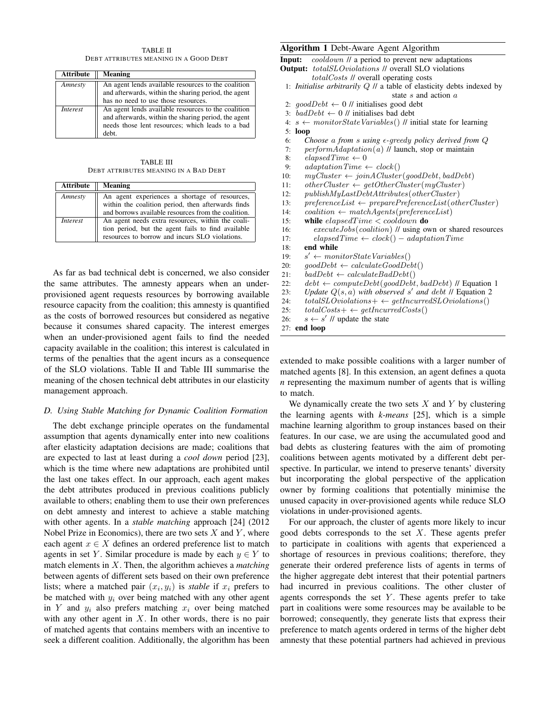TABLE II DEBT ATTRIBUTES MEANING IN A GOOD DEBT

| <b>Attribute</b> | <b>Meaning</b>                                                                                                                                                          |
|------------------|-------------------------------------------------------------------------------------------------------------------------------------------------------------------------|
| Amnesty          | An agent lends available resources to the coalition<br>and afterwards, within the sharing period, the agent<br>has no need to use those resources.                      |
| <i>Interest</i>  | An agent lends available resources to the coalition<br>and afterwards, within the sharing period, the agent<br>needs those lent resources; which leads to a bad<br>deht |

TABLE III DEBT ATTRIBUTES MEANING IN A BAD DEBT

| <b>Attribute</b> | <b>Meaning</b>                                                                                                                                             |
|------------------|------------------------------------------------------------------------------------------------------------------------------------------------------------|
| Amnesty          | An agent experiences a shortage of resources,<br>within the coalition period, then afterwards finds<br>and borrows available resources from the coalition. |
| <i>Interest</i>  | An agent needs extra resources, within the coali-<br>tion period, but the agent fails to find available<br>resources to borrow and incurs SLO violations.  |

As far as bad technical debt is concerned, we also consider the same attributes. The amnesty appears when an underprovisioned agent requests resources by borrowing available resource capacity from the coalition; this amnesty is quantified as the costs of borrowed resources but considered as negative because it consumes shared capacity. The interest emerges when an under-provisioned agent fails to find the needed capacity available in the coalition; this interest is calculated in terms of the penalties that the agent incurs as a consequence of the SLO violations. Table II and Table III summarise the meaning of the chosen technical debt attributes in our elasticity management approach.

# *D. Using Stable Matching for Dynamic Coalition Formation*

The debt exchange principle operates on the fundamental assumption that agents dynamically enter into new coalitions after elasticity adaptation decisions are made; coalitions that are expected to last at least during a *cool down* period [23], which is the time where new adaptations are prohibited until the last one takes effect. In our approach, each agent makes the debt attributes produced in previous coalitions publicly available to others; enabling them to use their own preferences on debt amnesty and interest to achieve a stable matching with other agents. In a *stable matching* approach [24] (2012 Nobel Prize in Economics), there are two sets  $X$  and  $Y$ , where each agent  $x \in X$  defines an ordered preference list to match agents in set Y. Similar procedure is made by each  $y \in Y$  to match elements in X. Then, the algorithm achieves a *matching* between agents of different sets based on their own preference lists; where a matched pair  $(x_i, y_i)$  is *stable* if  $x_i$  prefers to be matched with  $y_i$  over being matched with any other agent in Y and  $y_i$  also prefers matching  $x_i$  over being matched with any other agent in  $X$ . In other words, there is no pair of matched agents that contains members with an incentive to seek a different coalition. Additionally, the algorithm has been

# Algorithm 1 Debt-Aware Agent Algorithm

Input: cooldown // a period to prevent new adaptations **Output:** totalSLOviolations // overall SLO violations totalCosts // overall operating costs

- 1: *Initialise arbitrarily* Q // a table of elasticity debts indexed by state s and action a
- 2:  $qoodDebt \leftarrow 0$  // initialises good debt
- 3:  $badDebt \leftarrow 0$  // initialises bad debt
- 4:  $s \leftarrow monitorStateVariables()$  // initial state for learning 5: loop
- 6: *Choose* a *from* s *using -*greedy *policy derived from* Q
- 7:  $performAdaptation(a)$  // launch, stop or maintain
- 8: elapsedTime  $\leftarrow 0$
- 9:  $adaptationTime \leftarrow clock()$
- 10:  $myCluster \leftarrow joinACluster(goodDebt, badDebt)$
- 11: otherCluster  $\leftarrow$  getOtherCluster(myCluster)
- 12: publishMyLastDebtAttributes(otherCluster )
- 13:  $preferenceList \leftarrow preparePreferenceList(otherCluster)$
- 14:  $coalition \leftarrow match Agents(preferenceList)$
- 15: while  $elapse dTime <$  cooldown do
- 16: executeJobs(coalition) // using own or shared resources 17: elapsedTime  $\leftarrow clock() - adaptationTime$
- 18: end while
- $19:$  $s' \leftarrow monitorState\,Variables()$
- 20:  $qoodDebt \leftarrow calculateGoodDebt()$
- 21:  $badDebt \leftarrow calculateBadDebt()$
- 
- 22:  $debt \leftarrow computeDebt(goodDebt, badDebt)$  // Equation 1
- 23: Update  $Q(s, a)$  with observed s' and debt  $\hat{U}$  Equation 2 24:  $total SLO violations + \leftarrow getIn curved SLO violations()$
- 25:  $totalCosts + \leftarrow getIncurrentCosts()$
- 26:  $s \leftarrow s'$  // update the state

27: end loop

extended to make possible coalitions with a larger number of matched agents [8]. In this extension, an agent defines a quota *n* representing the maximum number of agents that is willing to match.

We dynamically create the two sets  $X$  and  $Y$  by clustering the learning agents with *k-means* [25], which is a simple machine learning algorithm to group instances based on their features. In our case, we are using the accumulated good and bad debts as clustering features with the aim of promoting coalitions between agents motivated by a different debt perspective. In particular, we intend to preserve tenants' diversity but incorporating the global perspective of the application owner by forming coalitions that potentially minimise the unused capacity in over-provisioned agents while reduce SLO violations in under-provisioned agents.

For our approach, the cluster of agents more likely to incur good debts corresponds to the set  $X$ . These agents prefer to participate in coalitions with agents that experienced a shortage of resources in previous coalitions; therefore, they generate their ordered preference lists of agents in terms of the higher aggregate debt interest that their potential partners had incurred in previous coalitions. The other cluster of agents corresponds the set  $Y$ . These agents prefer to take part in coalitions were some resources may be available to be borrowed; consequently, they generate lists that express their preference to match agents ordered in terms of the higher debt amnesty that these potential partners had achieved in previous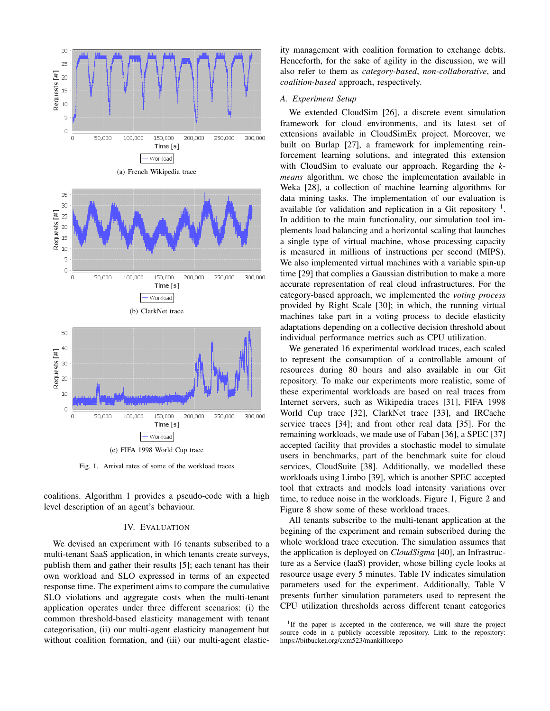

Fig. 1. Arrival rates of some of the workload traces

coalitions. Algorithm 1 provides a pseudo-code with a high level description of an agent's behaviour.

# IV. EVALUATION

We devised an experiment with 16 tenants subscribed to a multi-tenant SaaS application, in which tenants create surveys, publish them and gather their results [5]; each tenant has their own workload and SLO expressed in terms of an expected response time. The experiment aims to compare the cumulative SLO violations and aggregate costs when the multi-tenant application operates under three different scenarios: (i) the common threshold-based elasticity management with tenant categorisation, (ii) our multi-agent elasticity management but without coalition formation, and (iii) our multi-agent elasticity management with coalition formation to exchange debts. Henceforth, for the sake of agility in the discussion, we will also refer to them as *category-based*, *non-collaborative*, and *coalition-based* approach, respectively.

#### *A. Experiment Setup*

We extended CloudSim [26], a discrete event simulation framework for cloud environments, and its latest set of extensions available in CloudSimEx project. Moreover, we built on Burlap [27], a framework for implementing reinforcement learning solutions, and integrated this extension with CloudSim to evaluate our approach. Regarding the *kmeans* algorithm, we chose the implementation available in Weka [28], a collection of machine learning algorithms for data mining tasks. The implementation of our evaluation is available for validation and replication in a Git repository  $<sup>1</sup>$ .</sup> In addition to the main functionality, our simulation tool implements load balancing and a horizontal scaling that launches a single type of virtual machine, whose processing capacity is measured in millions of instructions per second (MIPS). We also implemented virtual machines with a variable spin-up time [29] that complies a Gaussian distribution to make a more accurate representation of real cloud infrastructures. For the category-based approach, we implemented the *voting process* provided by Right Scale [30]; in which, the running virtual machines take part in a voting process to decide elasticity adaptations depending on a collective decision threshold about individual performance metrics such as CPU utilization.

We generated 16 experimental workload traces, each scaled to represent the consumption of a controllable amount of resources during 80 hours and also available in our Git repository. To make our experiments more realistic, some of these experimental workloads are based on real traces from Internet servers, such as Wikipedia traces [31], FIFA 1998 World Cup trace [32], ClarkNet trace [33], and IRCache service traces [34]; and from other real data [35]. For the remaining workloads, we made use of Faban [36], a SPEC [37] accepted facility that provides a stochastic model to simulate users in benchmarks, part of the benchmark suite for cloud services, CloudSuite [38]. Additionally, we modelled these workloads using Limbo [39], which is another SPEC accepted tool that extracts and models load intensity variations over time, to reduce noise in the workloads. Figure 1, Figure 2 and Figure 8 show some of these workload traces.

All tenants subscribe to the multi-tenant application at the begining of the experiment and remain subscribed during the whole workload trace execution. The simulation assumes that the application is deployed on *CloudSigma* [40], an Infrastructure as a Service (IaaS) provider, whose billing cycle looks at resource usage every 5 minutes. Table IV indicates simulation parameters used for the experiment. Additionally, Table V presents further simulation parameters used to represent the CPU utilization thresholds across different tenant categories

<sup>&</sup>lt;sup>1</sup>If the paper is accepted in the conference, we will share the project source code in a publicly accessible repository. Link to the repository: https://bitbucket.org/cxm523/mankillorepo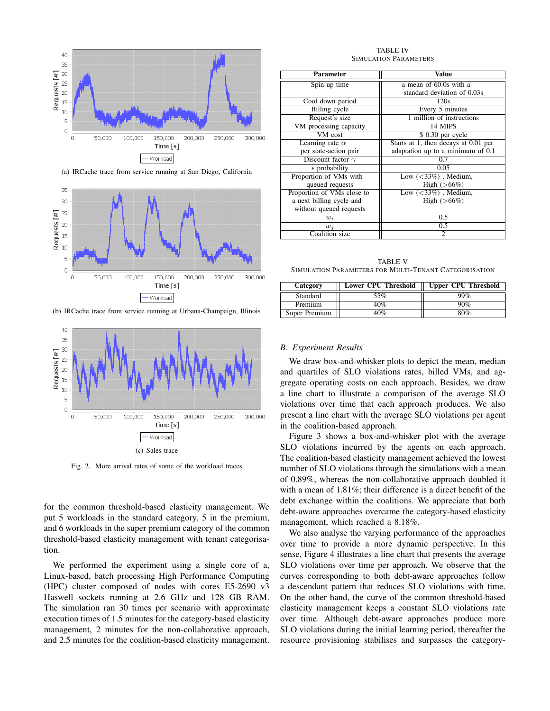

(a) IRCache trace from service running at San Diego, California



(b) IRCache trace from service running at Urbana-Champaign, Illinois



Fig. 2. More arrival rates of some of the workload traces

for the common threshold-based elasticity management. We put 5 workloads in the standard category, 5 in the premium, and 6 workloads in the super premium category of the common threshold-based elasticity management with tenant categorisation.

We performed the experiment using a single core of a, Linux-based, batch processing High Performance Computing (HPC) cluster composed of nodes with cores E5-2690 v3 Haswell sockets running at 2.6 GHz and 128 GB RAM. The simulation ran 30 times per scenario with approximate execution times of 1.5 minutes for the category-based elasticity management, 2 minutes for the non-collaborative approach, and 2.5 minutes for the coalition-based elasticity management.

TABLE IV SIMULATION PARAMETERS

| <b>Parameter</b>            | <b>Value</b>                         |
|-----------------------------|--------------------------------------|
| Spin-up time                | a mean of 60.0s with a               |
|                             | standard deviation of 0.03s          |
| Cool down period            | 120s                                 |
| Billing cycle               | Every 5 minutes                      |
| Request's size              | 1 million of instructions            |
| VM processing capacity      | 14 MIPS                              |
| $\overline{\text{VM}}$ cost | \$ 0.30 per cycle                    |
| Learning rate $\alpha$      | Starts at 1, then decays at 0.01 per |
| per state-action pair       | adaptation up to a minimum of 0.1    |
| Discount factor $\gamma$    | 0.7                                  |
| $\epsilon$ probability      | 0.05                                 |
| Proportion of VMs with      | Low $(<33\%)$ , Medium,              |
| queued requests             | High $(>66%)$                        |
| Proportion of VMs close to  | Low $(<33\%)$ , Medium,              |
| a next billing cycle and    | High $(>66%)$                        |
| without queued requests     |                                      |
| $w_i$                       | 0.5                                  |
| $w_i$                       | 0.5                                  |
| Coalition size              | $\mathfrak{D}$                       |

TABLE V SIMULATION PARAMETERS FOR MULTI-TENANT CATEGORISATION

| Category      | Lower CPU Threshold | <b>Upper CPU Threshold</b> |
|---------------|---------------------|----------------------------|
| Standard      | 55%                 | 99%                        |
| Premium       | 40%                 | 90%                        |
| Super Premium | 40%                 | 80%                        |

#### *B. Experiment Results*

We draw box-and-whisker plots to depict the mean, median and quartiles of SLO violations rates, billed VMs, and aggregate operating costs on each approach. Besides, we draw a line chart to illustrate a comparison of the average SLO violations over time that each approach produces. We also present a line chart with the average SLO violations per agent in the coalition-based approach.

Figure 3 shows a box-and-whisker plot with the average SLO violations incurred by the agents on each approach. The coalition-based elasticity management achieved the lowest number of SLO violations through the simulations with a mean of 0.89%, whereas the non-collaborative approach doubled it with a mean of 1.81%; their difference is a direct benefit of the debt exchange within the coalitions. We appreciate that both debt-aware approaches overcame the category-based elasticity management, which reached a 8.18%.

We also analyse the varying performance of the approaches over time to provide a more dynamic perspective. In this sense, Figure 4 illustrates a line chart that presents the average SLO violations over time per approach. We observe that the curves corresponding to both debt-aware approaches follow a descendant pattern that reduces SLO violations with time. On the other hand, the curve of the common threshold-based elasticity management keeps a constant SLO violations rate over time. Although debt-aware approaches produce more SLO violations during the initial learning period, thereafter the resource provisioning stabilises and surpasses the category-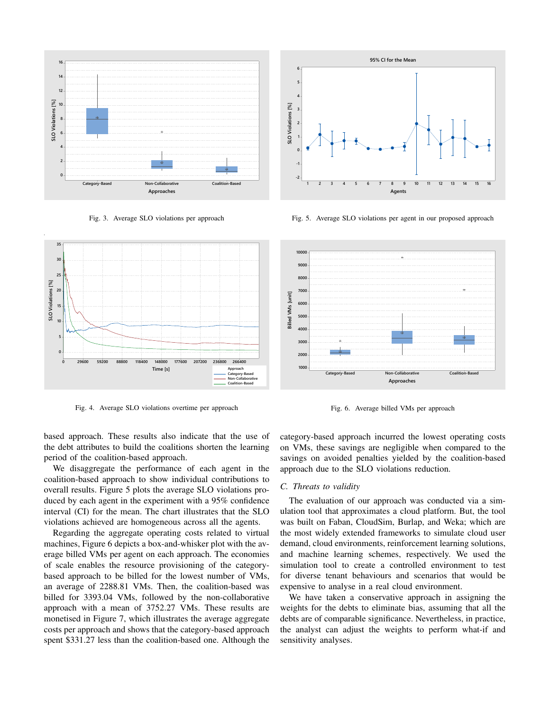

Fig. 3. Average SLO violations per approach



Fig. 5. Average SLO violations per agent in our proposed approach



Fig. 4. Average SLO violations overtime per approach

Fig. 6. Average billed VMs per approach

based approach. These results also indicate that the use of the debt attributes to build the coalitions shorten the learning period of the coalition-based approach.

We disaggregate the performance of each agent in the coalition-based approach to show individual contributions to overall results. Figure 5 plots the average SLO violations produced by each agent in the experiment with a 95% confidence interval (CI) for the mean. The chart illustrates that the SLO violations achieved are homogeneous across all the agents.

Regarding the aggregate operating costs related to virtual machines, Figure 6 depicts a box-and-whisker plot with the average billed VMs per agent on each approach. The economies of scale enables the resource provisioning of the categorybased approach to be billed for the lowest number of VMs, an average of 2288.81 VMs. Then, the coalition-based was billed for 3393.04 VMs, followed by the non-collaborative approach with a mean of 3752.27 VMs. These results are monetised in Figure 7, which illustrates the average aggregate costs per approach and shows that the category-based approach category-based approach incurred the lowest operating costs on VMs, these savings are negligible when compared to the savings on avoided penalties yielded by the coalition-based approach due to the SLO violations reduction.

# *C. Threats to validity*

The evaluation of our approach was conducted via a simulation tool that approximates a cloud platform. But, the tool was built on Faban, CloudSim, Burlap, and Weka; which are the most widely extended frameworks to simulate cloud user demand, cloud environments, reinforcement learning solutions, and machine learning schemes, respectively. We used the simulation tool to create a controlled environment to test for diverse tenant behaviours and scenarios that would be expensive to analyse in a real cloud environment.

We have taken a conservative approach in assigning the weights for the debts to eliminate bias, assuming that all the debts are of comparable significance. Nevertheless, in practice, the analyst can adjust the weights to perform what-if and sensitivity analyses.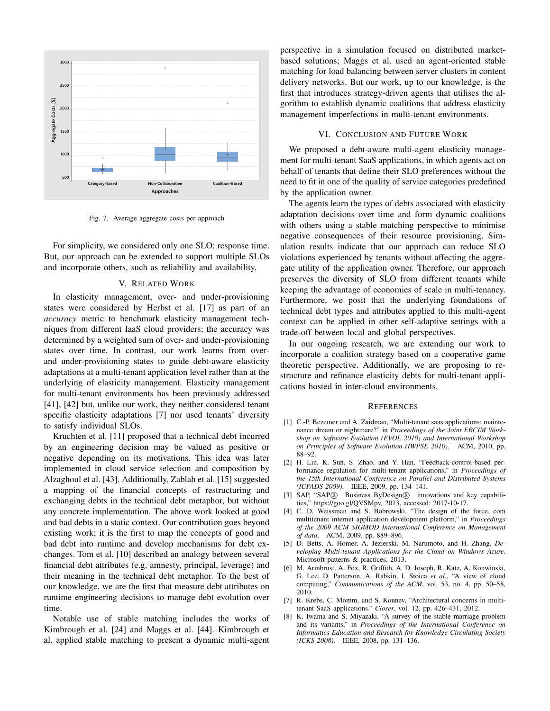

Fig. 7. Average aggregate costs per approach

For simplicity, we considered only one SLO: response time. But, our approach can be extended to support multiple SLOs and incorporate others, such as reliability and availability.

## V. RELATED WORK

In elasticity management, over- and under-provisioning states were considered by Herbst et al. [17] as part of an *accuracy* metric to benchmark elasticity management techniques from different IaaS cloud providers; the accuracy was determined by a weighted sum of over- and under-provisioning states over time. In contrast, our work learns from overand under-provisioning states to guide debt-aware elasticity adaptations at a multi-tenant application level rather than at the underlying of elasticity management. Elasticity management for multi-tenant environments has been previously addressed [41], [42] but, unlike our work, they neither considered tenant specific elasticity adaptations [7] nor used tenants' diversity to satisfy individual SLOs.

Kruchten et al. [11] proposed that a technical debt incurred by an engineering decision may be valued as positive or negative depending on its motivations. This idea was later implemented in cloud service selection and composition by Alzaghoul et al. [43]. Additionally, Zablah et al. [15] suggested a mapping of the financial concepts of restructuring and exchanging debts in the technical debt metaphor, but without any concrete implementation. The above work looked at good and bad debts in a static context. Our contribution goes beyond existing work; it is the first to map the concepts of good and bad debt into runtime and develop mechanisms for debt exchanges. Tom et al. [10] described an analogy between several financial debt attributes (e.g. amnesty, principal, leverage) and their meaning in the technical debt metaphor. To the best of our knowledge, we are the first that measure debt attributes on runtime engineering decisions to manage debt evolution over time.

Notable use of stable matching includes the works of Kimbrough et al. [24] and Maggs et al. [44]. Kimbrough et al. applied stable matching to present a dynamic multi-agent

perspective in a simulation focused on distributed marketbased solutions; Maggs et al. used an agent-oriented stable matching for load balancing between server clusters in content delivery networks. But our work, up to our knowledge, is the first that introduces strategy-driven agents that utilises the algorithm to establish dynamic coalitions that address elasticity management imperfections in multi-tenant environments.

## VI. CONCLUSION AND FUTURE WORK

Category-Based Non-Collaborative Coalition-Based need to fit in one of the quality of service categories predefined We proposed a debt-aware multi-agent elasticity management for multi-tenant SaaS applications, in which agents act on behalf of tenants that define their SLO preferences without the by the application owner.

> The agents learn the types of debts associated with elasticity adaptation decisions over time and form dynamic coalitions with others using a stable matching perspective to minimise negative consequences of their resource provisioning. Simulation results indicate that our approach can reduce SLO violations experienced by tenants without affecting the aggregate utility of the application owner. Therefore, our approach preserves the diversity of SLO from different tenants while keeping the advantage of economies of scale in multi-tenancy. Furthermore, we posit that the underlying foundations of technical debt types and attributes applied to this multi-agent context can be applied in other self-adaptive settings with a trade-off between local and global perspectives.

> In our ongoing research, we are extending our work to incorporate a coalition strategy based on a cooperative game theoretic perspective. Additionally, we are proposing to restructure and refinance elasticity debts for multi-tenant applications hosted in inter-cloud environments.

#### **REFERENCES**

- [1] C.-P. Bezemer and A. Zaidman, "Multi-tenant saas applications: maintenance dream or nightmare?" in *Proceedings of the Joint ERCIM Workshop on Software Evolution (EVOL 2010) and International Workshop on Principles of Software Evolution (IWPSE 2010)*. ACM, 2010, pp. 88–92.
- [2] H. Lin, K. Sun, S. Zhao, and Y. Han, "Feedback-control-based performance regulation for multi-tenant applications," in *Proceedings of the 15th International Conference on Parallel and Distributed Systems (ICPADS 2009)*. IEEE, 2009, pp. 134–141.
- [3] SAP, "SAP® Business ByDesign® innovations and key capabilities," https://goo.gl/QVSMpv, 2013, accessed: 2017-10-17.
- [4] C. D. Weissman and S. Bobrowski, "The design of the force. com multitenant internet application development platform," in *Proceedings of the 2009 ACM SIGMOD International Conference on Management of data*. ACM, 2009, pp. 889–896.
- [5] D. Betts, A. Homer, A. Jezierski, M. Narumoto, and H. Zhang, *Developing Multi-tenant Applications for the Cloud on Windows Azure*. Microsoft patterns & practices, 2013.
- [6] M. Armbrust, A. Fox, R. Griffith, A. D. Joseph, R. Katz, A. Konwinski, G. Lee, D. Patterson, A. Rabkin, I. Stoica *et al.*, "A view of cloud computing," *Communications of the ACM*, vol. 53, no. 4, pp. 50–58, 2010.
- [7] R. Krebs, C. Momm, and S. Kounev, "Architectural concerns in multitenant SaaS applications." *Closer*, vol. 12, pp. 426–431, 2012.
- [8] K. Iwama and S. Miyazaki, "A survey of the stable marriage problem and its variants," in *Proceedings of the International Conference on Informatics Education and Research for Knowledge-Circulating Society (ICKS 2008)*. IEEE, 2008, pp. 131–136.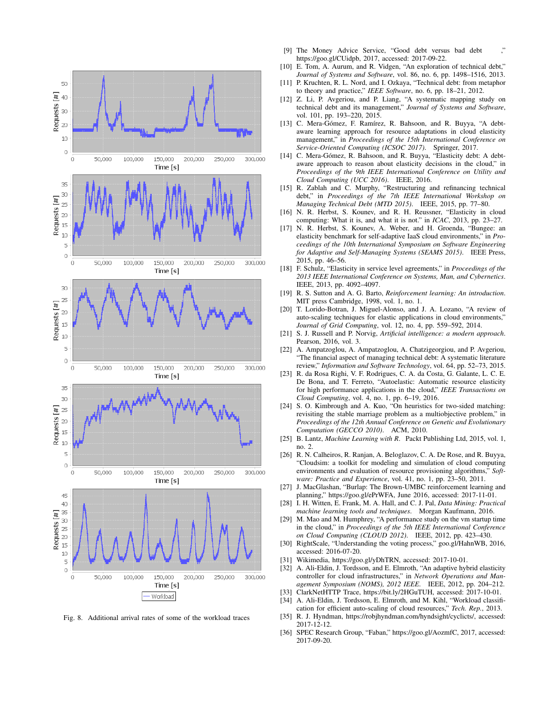

Fig. 8. Additional arrival rates of some of the workload traces

- [9] The Money Advice Service, "Good debt versus bad debt https://goo.gl/CUidpb, 2017, accessed: 2017-09-22.
- [10] E. Tom, A. Aurum, and R. Vidgen, "An exploration of technical debt," *Journal of Systems and Software*, vol. 86, no. 6, pp. 1498–1516, 2013.
- [11] P. Kruchten, R. L. Nord, and I. Ozkaya, "Technical debt: from metaphor to theory and practice," *IEEE Software*, no. 6, pp. 18–21, 2012.
- [12] Z. Li, P. Avgeriou, and P. Liang, "A systematic mapping study on technical debt and its management," *Journal of Systems and Software*, vol. 101, pp. 193–220, 2015.
- [13] C. Mera-Gómez, F. Ramírez, R. Bahsoon, and R. Buyya, "A debtaware learning approach for resource adaptations in cloud elasticity management," in *Proceedings of the 15th International Conference on Service-Oriented Computing (ICSOC 2017)*. Springer, 2017.
- [14] C. Mera-Gómez, R. Bahsoon, and R. Buyya, "Elasticity debt: A debtaware approach to reason about elasticity decisions in the cloud," in *Proceedings of the 9th IEEE International Conference on Utility and Cloud Computing (UCC 2016)*. IEEE, 2016.
- [15] R. Zablah and C. Murphy, "Restructuring and refinancing technical debt," in *Proceedings of the 7th IEEE International Workshop on Managing Technical Debt (MTD 2015)*. IEEE, 2015, pp. 77–80.
- [16] N. R. Herbst, S. Kounev, and R. H. Reussner, "Elasticity in cloud computing: What it is, and what it is not." in *ICAC*, 2013, pp. 23–27.
- [17] N. R. Herbst, S. Kounev, A. Weber, and H. Groenda, "Bungee: an elasticity benchmark for self-adaptive IaaS cloud environments," in *Proceedings of the 10th International Symposium on Software Engineering for Adaptive and Self-Managing Systems (SEAMS 2015)*. IEEE Press, 2015, pp. 46–56.
- [18] F. Schulz, "Elasticity in service level agreements," in *Proceedings of the 2013 IEEE International Conference on Systems, Man, and Cybernetics*. IEEE, 2013, pp. 4092–4097.
- [19] R. S. Sutton and A. G. Barto, *Reinforcement learning: An introduction*. MIT press Cambridge, 1998, vol. 1, no. 1.
- [20] T. Lorido-Botran, J. Miguel-Alonso, and J. A. Lozano, "A review of auto-scaling techniques for elastic applications in cloud environments," *Journal of Grid Computing*, vol. 12, no. 4, pp. 559–592, 2014.
- [21] S. J. Russell and P. Norvig, *Artificial intelligence: a modern approach*. Pearson, 2016, vol. 3.
- [22] A. Ampatzoglou, A. Ampatzoglou, A. Chatzigeorgiou, and P. Avgeriou, "The financial aspect of managing technical debt: A systematic literature review," *Information and Software Technology*, vol. 64, pp. 52–73, 2015.
- [23] R. da Rosa Righi, V. F. Rodrigues, C. A. da Costa, G. Galante, L. C. E. De Bona, and T. Ferreto, "Autoelastic: Automatic resource elasticity for high performance applications in the cloud," *IEEE Transactions on Cloud Computing*, vol. 4, no. 1, pp. 6–19, 2016.
- [24] S. O. Kimbrough and A. Kuo, "On heuristics for two-sided matching: revisiting the stable marriage problem as a multiobjective problem," in *Proceedings of the 12th Annual Conference on Genetic and Evolutionary Computation (GECCO 2010)*. ACM, 2010.
- [25] B. Lantz, *Machine Learning with R. Packt Publishing Ltd, 2015, vol. 1,* no. 2.
- [26] R. N. Calheiros, R. Ranjan, A. Beloglazov, C. A. De Rose, and R. Buyya, "Cloudsim: a toolkit for modeling and simulation of cloud computing environments and evaluation of resource provisioning algorithms," *Software: Practice and Experience*, vol. 41, no. 1, pp. 23–50, 2011.
- [27] J. MacGlashan, "Burlap: The Brown-UMBC reinforcement learning and planning," https://goo.gl/ePrWFA, June 2016, accessed: 2017-11-01.
- [28] I. H. Witten, E. Frank, M. A. Hall, and C. J. Pal, *Data Mining: Practical machine learning tools and techniques*. Morgan Kaufmann, 2016.
- [29] M. Mao and M. Humphrey, "A performance study on the vm startup time in the cloud," in *Proceedings of the 5th IEEE International Conference on Cloud Computing (CLOUD 2012)*. IEEE, 2012, pp. 423–430.
- [30] RightScale, "Understanding the voting process," goo.gl/HahnWB, 2016, accessed: 2016-07-20.
- [31] Wikimedia, https://goo.gl/yDhTRN, accessed: 2017-10-01.
- [32] A. Ali-Eldin, J. Tordsson, and E. Elmroth, "An adaptive hybrid elasticity controller for cloud infrastructures," in *Network Operations and Management Symposium (NOMS), 2012 IEEE*. IEEE, 2012, pp. 204–212.
- [33] ClarkNetHTTP Trace, https://bit.ly/2HGuTUH, accessed: 2017-10-01.<br>[34] A. Ali-Eldin, J. Tordsson, E. Elmroth, and M. Kihl, "Workload classif
- A. Ali-Eldin, J. Tordsson, E. Elmroth, and M. Kihl, "Workload classifi-
- cation for efficient auto-scaling of cloud resources," *Tech. Rep.*, 2013. [35] R. J. Hyndman, https://robjhyndman.com/hyndsight/cyclicts/, accessed: 2017-12-12.
- [36] SPEC Research Group, "Faban," https://goo.gl/AozmfC, 2017, accessed: 2017-09-20.